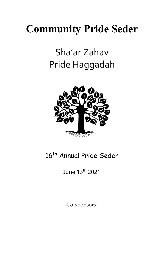## **Community Pride Seder**

### Sha'ar Zahav Pride Haggadah



### 16<sup>th</sup> Annual Pride Seder

June 13th 2021

Co-sponsors: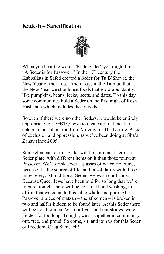#### **Kadesh – Sanctification**



When you hear the words "Pride Seder" you might think – "A Seder is for Passover!" In the  $17<sup>th</sup>$  century the Kabbalists in Safed created a Seder for Tu B'Shevat, the New Year of the Trees. And it says in the Talmud that at the New Year we should eat foods that grow abundantly, like pumpkins, beans, leeks, beets, and dates. To this day some communities hold a Seder on the first night of Rosh Hashanah which includes those foods.

So even if there were no other Seders, it would be entirely appropriate for LGBTQ Jews to create a ritual meal to celebrate our liberation from Mitzrayim, The Narrow Place of exclusion and oppression, as we've been doing at Sha'ar Zahav since 2005.

Some elements of this Seder will be familiar. There's a Seder plate, with different items on it than those found at Passover. We'll drink several glasses of water, not wine, because it's the source of life, and in solidarity with those in recovery. At traditional Seders we wash our hands. Because Queer Jews have been told for so long that we're impure, tonight there will be no ritual hand washing, to affirm that we come to this table whole and pure. At Passover a piece of matzah – the afikomen – is broken in two and half is hidden to be found later. At this Seder there will be no afikomen. We, our lives, and our stories, were hidden for too long. Tonight, we sit together in community, out, free, and proud. So come, sit, and join us for this Seder of Freedom. Chag Sameach!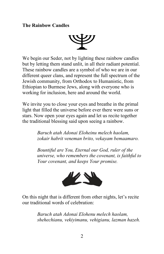#### **The Rainbow Candles**



We begin our Seder, not by lighting these rainbow candles but by letting them stand unlit, in all their radiant potential. These rainbow candles are a symbol of who we are in our different queer clans, and represent the full spectrum of the Jewish community, from Orthodox to Humanistic, from Ethiopian to Burmese Jews, along with everyone who is working for inclusion, here and around the world.

We invite you to close your eyes and breathe in the primal light that filled the universe before ever there were suns or stars. Now open your eyes again and let us recite together the traditional blessing said upon seeing a rainbow.

> *Baruch atah Adonai Eloheinu melech haolam, zokair habrit veneman brito, vekayam bemaamaro.*

*Bountiful are You, Eternal our God, ruler of the universe, who remembers the covenant, is faithful to Your covenant, and keeps Your promise.*



On this night that is different from other nights, let's recite our traditional words of celebration:

> *Baruch atah Adonai Elohenu melech haolam, shehechianu, vekiyimanu, vehigianu, lazman hazeh.*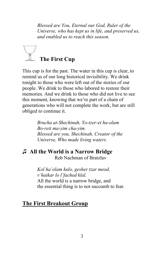*Blessed are You, Eternal our God, Ruler of the Universe, who has kept us in life, and preserved us, and enabled us to reach this season.*

# **The First Cup**

This cup is for the past. The water in this cup is clear, to remind us of our long historical invisibility. We drink tonight to those who were left out of the stories of our people. We drink to those who labored to restore their memories. And we drink to those who did not live to see this moment, knowing that we're part of a chain of generations who will not complete the work, but are still obliged to continue it.

> *Brucha at-Shechinah, Yo-tzer-et ha-olam Bo-reit ma-yim cha-yim. Blessed are you, Shechinah, Creator of the Universe, Who made living waters.*

### ♫ **All the World is a Narrow Bridge**

Reb Nachman of Bratzlav

*Kol ha'olam kulo, gesher tzar meod, v'haikar lo l'fached klal.* All the world is a narrow bridge, and the essential thing is to not succumb to fear.

#### **The First Breakout Group**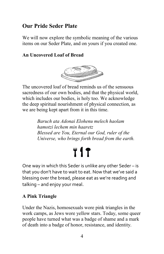#### **Our Pride Seder Plate**

We will now explore the symbolic meaning of the various items on our Seder Plate, and on yours if you created one.

#### **An Uncovered Loaf of Bread**



The uncovered loaf of bread reminds us of the sensuous sacredness of our own bodies, and that the physical world, which includes our bodies, is holy too. We acknowledge the deep spiritual nourishment of physical connection, as we are being kept apart from it in this time.

> *Baruch ata Adonai Elohenu melech haolam hamotzi lechem min haaretz Blessed are You, Eternal our God, ruler of the Universe, who brings forth bread from the earth.*

# T1T

One way in which this Seder is unlike any other Seder – is that you don't have to wait to eat. Now that we've said a blessing over the bread, please eat as we're reading and talking – and enjoy your meal.

#### **A Pink Triangle**

Under the Nazis, homosexuals wore pink triangles in the work camps, as Jews wore yellow stars. Today, some queer people have turned what was a badge of shame and a mark of death into a badge of honor, resistance, and identity.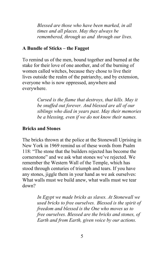*Blessed are those who have been marked, in all times and all places. May they always be remembered, through us and through our lives.*

#### **A Bundle of Sticks – the Faggot**

To remind us of the men, bound together and burned at the stake for their love of one another, and of the burning of women called witches, because they chose to live their lives outside the realm of the patriarchy, and by extension, everyone who is now oppressed, anywhere and everywhere.

> *Cursed is the flame that destroys, that kills. May it be snuffed out forever. And blessed are all of our siblings who died in years past. May their memories be a blessing, even if we do not know their names.*

#### **Bricks and Stones**

The bricks thrown at the police at the Stonewall Uprising in New York in 1969 remind us of these words from Psalm 118: "The stone that the builders rejected has become the cornerstone" and we ask what stones we've rejected. We remember the Western Wall of the Temple, which has stood through centuries of triumph and tears. If you have any stones, jiggle them in your hand as we ask ourselves: What walls must we build anew, what walls must we tear down?

> *In Egypt we made bricks as slaves. At Stonewall we used bricks to free ourselves. Blessed is the spirit of freedom and blessed is the One who moves us to free ourselves. Blessed are the bricks and stones, of Earth and from Earth, given voice by our actions.*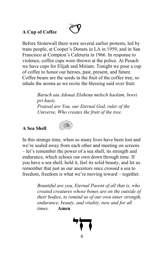#### **A Cup of Coffee**

Before Stonewall there were several earlier protests, led by trans people, at Cooper's Donuts in LA in 1959, and in San Francisco at Compton's Cafeteria in 1966. In response to violence, coffee cups were thrown at the police. At Pesach we have cups for Elijah and Miriam. Tonight we pour a cup of coffee to honor our heroes, past, present, and future. Coffee beans are the seeds in the fruit of the coffee tree, so inhale the aroma as we recite the blessing said over fruit:

> *Baruch ata Adonai Elohenu melech haolam, borei pri haetz. Praised are You, our Eternal God, ruler of the Universe, Who creates the fruit of the tree.*

#### **A Sea Shell**



In this strange time, when so many lives have been lost and we're sealed away from each other and meeting on screens – let's remember the power of a sea shell, its strength and endurance, which echoes our own down through time. If you have a sea shell, hold it, feel its solid beauty, and let us remember that just as our ancestors once crossed a sea to freedom, freedom is what we're moving toward – together.

> *Bountiful are you, Eternal Parent of all that is, who created creatures whose bones are on the outside of their bodies, to remind us of our own inner strength, endurance, beauty, and vitality, now and for all times.* **Amen**

6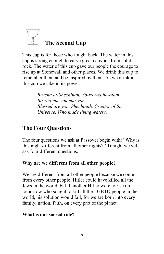

This cup is for those who fought back. The water in this cup is strong enough to carve great canyons from solid rock. The water of this cup gave our people the courage to rise up at Stonewall and other places. We drink this cup to remember them and be inspired by them. As we drink in this cup we take in its power.

> *Brucha at-Shechinah, Yo-tzer-et ha-olam Bo-reit ma-yim cha-yim. Blessed are you, Shechinah, Creator of the Universe, Who made living waters.*

#### **The Four Questions**

The four questions we ask at Passover begin with: "Why is this night different from all other nights?" Tonight we will ask four different questions.

#### **Why are we different from all other people?**

We are different from all other people because we come from every other people. Hitler could have killed all the Jews in the world, but if another Hitler were to rise up tomorrow who sought to kill all the LGBTQ people in the world, his solution would fail, for we are born into every family, nation, faith, on every part of the planet.

#### **What is our sacred role?**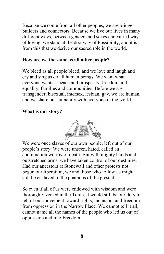Because we come from all other peoples, we are bridgebuilders and connectors. Because we live our lives in many different ways, between genders and sexes and varied ways of loving, we stand at the doorway of Possibility, and it is from this that we derive our sacred role in the world.

#### **How are we the same as all other people?**

We bleed as all people bleed, and we love and laugh and cry and sing as do all human beings. We want what everyone wants – peace and prosperity, freedom and equality, families and communities. Before we are transgender, bisexual, intersex, lesbian, gay, we are human, and we share our humanity with everyone in the world.

#### **What is our story?**



We were once slaves of our own people, left out of our people's story. We were unseen, hated, called an abomination worthy of death. But with mighty hands and outstretched arms, we have taken control of our destinies. Had our ancestors at Stonewall and other protests not begun our liberation, we and those who follow us might still be enslaved to the pharaohs of the present.

So even if all of us were endowed with wisdom and were thoroughly versed in the Torah, it would still be our duty to tell of our movement toward rights, inclusion, and freedom from oppression in the Narrow Place. We cannot tell it all, cannot name all the names of the people who led us out of oppression and into Freedom.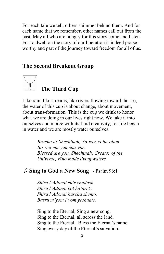For each tale we tell, others shimmer behind them. And for each name that we remember, other names call out from the past. May all who are hungry for this story come and listen. For to dwell on the story of our liberation is indeed praiseworthy and part of the journey toward freedom for all of us.

#### **The Second Breakout Group**



Like rain, like streams, like rivers flowing toward the sea, the water of this cup is about change, about movement, about trans-formation. This is the cup we drink to honor what we are doing in our lives right now. We take it into ourselves and merge with its fluid creativity, for life began in water and we are mostly water ourselves.

> *Brucha at-Shechinah, Yo-tzer-et ha-olam Bo-reit ma-yim cha-yim. Blessed are you, Shechinah, Creator of the Universe, Who made living waters.*

#### *♫* **Sing to God a New Song -** Psalm 96:1

*Shiru l'Adonai shir chadash. Shiru l'Adonai kol ha'aretz. Shiru l'Adonai barchu shemo. Basru m'yom l'yom yeshuato.* 

Sing to the Eternal, Sing a new song. Sing to the Eternal, all across the land. Sing to the Eternal. Bless the Eternal's name. Sing every day of the Eternal's salvation.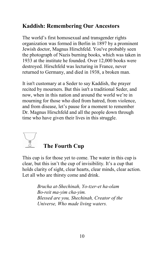#### **Kaddish: Remembering Our Ancestors**

The world's first homosexual and transgender rights organization was formed in Berlin in 1897 by a prominent Jewish doctor, Magnus Hirschfeld. You've probably seen the photograph of Nazis burning books, which was taken in 1933 at the institute he founded. Over 12,000 books were destroyed. Hirschfeld was lecturing in France, never returned to Germany, and died in 1938, a broken man.

It isn't customary at a Seder to say Kaddish, the prayer recited by mourners. But this isn't a traditional Seder, and now, when in this nation and around the world we're in mourning for those who died from hatred, from violence, and from disease, let's pause for a moment to remember Dr. Magnus Hirschfeld and all the people down through time who have given their lives in this struggle.

# **The Fourth Cup**

This cup is for those yet to come. The water in this cup is clear, but this isn't the cup of invisibility. It's a cup that holds clarity of sight, clear hearts, clear minds, clear action. Let all who are thirsty come and drink.

> *Brucha at-Shechinah, Yo-tzer-et ha-olam Bo-reit ma-yim cha-yim. Blessed are you, Shechinah, Creator of the Universe, Who made living waters.*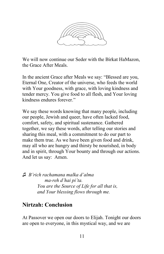

We will now continue our Seder with the Birkat HaMazon, the Grace After Meals.

In the ancient Grace after Meals we say: "Blessed are you, Eternal One, Creator of the universe, who feeds the world with Your goodness, with grace, with loving kindness and tender mercy. You give food to all flesh, and Your loving kindness endures forever."

We say these words knowing that many people, including our people, Jewish and queer, have often lacked food, comfort, safety, and spiritual sustenance. Gathered together, we say these words, after telling our stories and sharing this meal, with a commitment to do our part to make them true. As we have been given food and drink, may all who are hungry and thirsty be nourished, in body and in spirit, through Your bounty and through our actions. And let us say: Amen.

*♫ B'rich rachamana malka d'alma ma-reh d'hai pi'ta. You are the Source of Life for all that is, and Your blessing flows through me.*

#### **Nirtzah: Conclusion**

At Passover we open our doors to Elijah. Tonight our doors are open to everyone, in this mystical way, and we are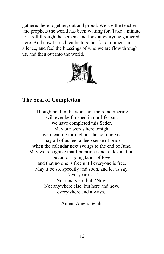gathered here together, out and proud. We are the teachers and prophets the world has been waiting for. Take a minute to scroll through the screens and look at everyone gathered here. And now let us breathe together for a moment in silence, and feel the blessings of who we are flow through us, and then out into the world.



#### **The Seal of Completion**

Though neither the work nor the remembering will ever be finished in our lifespan, we have completed this Seder. May our words here tonight have meaning throughout the coming year; may all of us feel a deep sense of pride when the calendar next swings to the end of June. May we recognize that liberation is not a destination, but an on-going labor of love, and that no one is free until everyone is free. May it be so, speedily and soon, and let us say, 'Next year in…' Not next year, but: 'Now. Not anywhere else, but here and now, everywhere and always.'

Amen. Amen. Selah.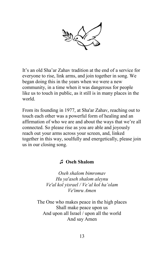

It's an old Sha'ar Zahav tradition at the end of a service for everyone to rise, link arms, and join together in song. We began doing this in the years when we were a new community, in a time when it was dangerous for people like us to touch in public, as it still is in many places in the world.

From its founding in 1977, at Sha'ar Zahav, reaching out to touch each other was a powerful form of healing and an affirmation of who we are and about the ways that we're all connected. So please rise as you are able and joyously reach out your arms across your screen, and, linked together in this way, soulfully and energetically, please join us in our closing song.

#### *♫* **Oseh Shalom**

*Oseh shalom bimromav Hu ya'aseh shalom aleynu Ve'al kol yisrael / Ve'al kol ha'olam Ve'imru Amen*

The One who makes peace in the high places Shall make peace upon us And upon all Israel / upon all the world And say Amen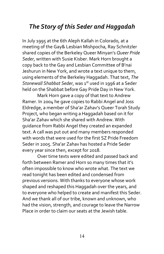#### *The Story of this Seder and Haggadah*

In July 1995 at the 6th Aleph Kallah in Colorado, at a meeting of the Gay& Lesbian Mishpocha, Ray Schnitzler shared copies of the Berkeley Queer Minyan's *Queer Pride Seder*, written with Susie Kisber. Mark Horn brought a copy back to the Gay and Lesbian Committee of B'nai Jeshurun in New York, and wrote a text unique to them, using elements of the Berkeley Haggadah. That text, *The Stonewall Shabbat Seder*, was 1<sup>st</sup> used in 1996 at a Seder held on the Shabbat before Gay Pride Day in New York.

Mark Horn gave a copy of that text to Andrew Ramer. In 2004 he gave copies to Rabbi Angel and Joss Eldredge, a member of Sha'ar Zahav's Queer Torah Study Project, who began writing a Haggadah based on it for Sha'ar Zahav which she shared with Andrew. With guidance from Rabbi Angel they created an expanded text. A call was put out and many members responded with words that were used for the first SZ Pride Freedom Seder in 2005. Sha'ar Zahav has hosted a Pride Seder every year since then, except for 2018.

Over time texts were edited and passed back and forth between Ramer and Horn so many times that it's often impossible to know who wrote what. The text we read tonight has been edited and condensed from previous versions. With thanks to everyone whose work shaped and reshaped this Haggadah over the years, and to everyone who helped to create and manifest this Seder. And we thank all of our tribe, known and unknown, who had the vision, strength, and courage to leave the Narrow Place in order to claim our seats at the Jewish table.